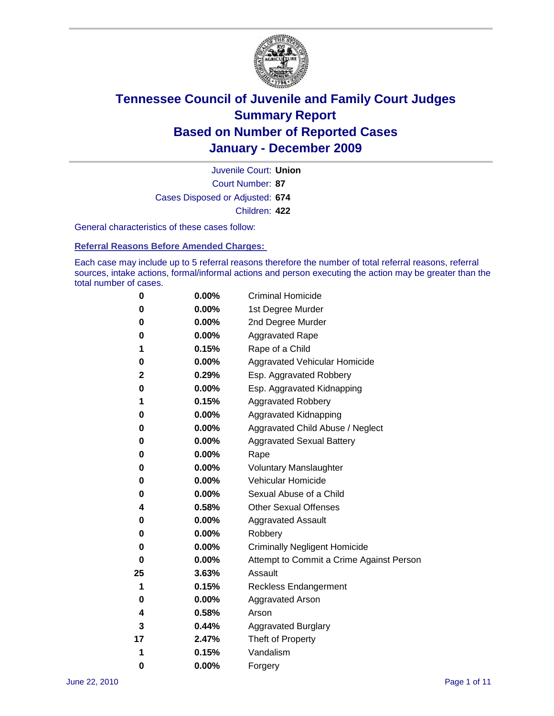

Court Number: **87** Juvenile Court: **Union** Cases Disposed or Adjusted: **674** Children: **422**

General characteristics of these cases follow:

**Referral Reasons Before Amended Charges:** 

Each case may include up to 5 referral reasons therefore the number of total referral reasons, referral sources, intake actions, formal/informal actions and person executing the action may be greater than the total number of cases.

| 0  | 0.00%    | <b>Criminal Homicide</b>                 |
|----|----------|------------------------------------------|
| 0  | 0.00%    | 1st Degree Murder                        |
| 0  | 0.00%    | 2nd Degree Murder                        |
| 0  | 0.00%    | <b>Aggravated Rape</b>                   |
| 1  | 0.15%    | Rape of a Child                          |
| 0  | 0.00%    | Aggravated Vehicular Homicide            |
| 2  | 0.29%    | Esp. Aggravated Robbery                  |
| 0  | 0.00%    | Esp. Aggravated Kidnapping               |
| 1  | 0.15%    | <b>Aggravated Robbery</b>                |
| 0  | 0.00%    | Aggravated Kidnapping                    |
| 0  | 0.00%    | Aggravated Child Abuse / Neglect         |
| 0  | $0.00\%$ | <b>Aggravated Sexual Battery</b>         |
| 0  | 0.00%    | Rape                                     |
| 0  | 0.00%    | <b>Voluntary Manslaughter</b>            |
| 0  | 0.00%    | Vehicular Homicide                       |
| 0  | 0.00%    | Sexual Abuse of a Child                  |
| 4  | 0.58%    | <b>Other Sexual Offenses</b>             |
| 0  | 0.00%    | <b>Aggravated Assault</b>                |
| 0  | $0.00\%$ | Robbery                                  |
| 0  | 0.00%    | <b>Criminally Negligent Homicide</b>     |
| 0  | 0.00%    | Attempt to Commit a Crime Against Person |
| 25 | 3.63%    | Assault                                  |
| 1  | 0.15%    | <b>Reckless Endangerment</b>             |
| 0  | 0.00%    | <b>Aggravated Arson</b>                  |
| 4  | 0.58%    | Arson                                    |
| 3  | 0.44%    | <b>Aggravated Burglary</b>               |
| 17 | 2.47%    | Theft of Property                        |
| 1  | 0.15%    | Vandalism                                |
| 0  | 0.00%    | Forgery                                  |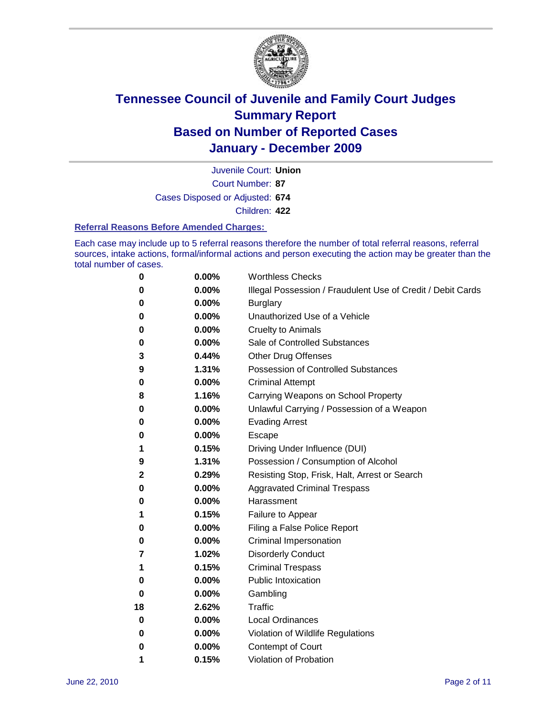

Court Number: **87** Juvenile Court: **Union** Cases Disposed or Adjusted: **674** Children: **422**

#### **Referral Reasons Before Amended Charges:**

Each case may include up to 5 referral reasons therefore the number of total referral reasons, referral sources, intake actions, formal/informal actions and person executing the action may be greater than the total number of cases.

| 0  | 0.00% | <b>Worthless Checks</b>                                     |
|----|-------|-------------------------------------------------------------|
| 0  | 0.00% | Illegal Possession / Fraudulent Use of Credit / Debit Cards |
| 0  | 0.00% | <b>Burglary</b>                                             |
| 0  | 0.00% | Unauthorized Use of a Vehicle                               |
| 0  | 0.00% | <b>Cruelty to Animals</b>                                   |
| 0  | 0.00% | Sale of Controlled Substances                               |
| 3  | 0.44% | <b>Other Drug Offenses</b>                                  |
| 9  | 1.31% | <b>Possession of Controlled Substances</b>                  |
| 0  | 0.00% | <b>Criminal Attempt</b>                                     |
| 8  | 1.16% | Carrying Weapons on School Property                         |
| 0  | 0.00% | Unlawful Carrying / Possession of a Weapon                  |
| 0  | 0.00% | <b>Evading Arrest</b>                                       |
| 0  | 0.00% | Escape                                                      |
| 1  | 0.15% | Driving Under Influence (DUI)                               |
| 9  | 1.31% | Possession / Consumption of Alcohol                         |
| 2  | 0.29% | Resisting Stop, Frisk, Halt, Arrest or Search               |
| 0  | 0.00% | <b>Aggravated Criminal Trespass</b>                         |
| 0  | 0.00% | Harassment                                                  |
| 1  | 0.15% | Failure to Appear                                           |
| 0  | 0.00% | Filing a False Police Report                                |
| 0  | 0.00% | Criminal Impersonation                                      |
| 7  | 1.02% | <b>Disorderly Conduct</b>                                   |
| 1  | 0.15% | <b>Criminal Trespass</b>                                    |
| 0  | 0.00% | <b>Public Intoxication</b>                                  |
| 0  | 0.00% | Gambling                                                    |
| 18 | 2.62% | <b>Traffic</b>                                              |
| 0  | 0.00% | <b>Local Ordinances</b>                                     |
| 0  | 0.00% | Violation of Wildlife Regulations                           |
| 0  | 0.00% | Contempt of Court                                           |
| 1  | 0.15% | Violation of Probation                                      |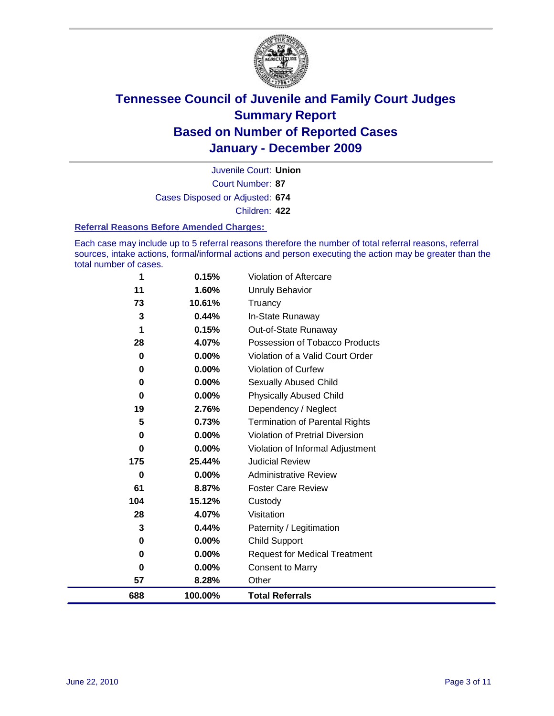

Court Number: **87** Juvenile Court: **Union** Cases Disposed or Adjusted: **674** Children: **422**

#### **Referral Reasons Before Amended Charges:**

Each case may include up to 5 referral reasons therefore the number of total referral reasons, referral sources, intake actions, formal/informal actions and person executing the action may be greater than the total number of cases.

| 688         | 100.00%            | <b>Total Referrals</b>                                     |
|-------------|--------------------|------------------------------------------------------------|
| 57          | 8.28%              | Other                                                      |
| 0           | 0.00%              | <b>Consent to Marry</b>                                    |
| 0           | 0.00%              | <b>Request for Medical Treatment</b>                       |
| 0           | 0.00%              | <b>Child Support</b>                                       |
| 3           | 0.44%              | Paternity / Legitimation                                   |
| 28          | 4.07%              | Visitation                                                 |
| 104         | 15.12%             | Custody                                                    |
| 61          | 8.87%              | <b>Foster Care Review</b>                                  |
| 0           | 0.00%              | <b>Administrative Review</b>                               |
| 0<br>175    | $0.00\%$<br>25.44% | Violation of Informal Adjustment<br><b>Judicial Review</b> |
| 0           | 0.00%              | <b>Violation of Pretrial Diversion</b>                     |
| 5           | 0.73%              | <b>Termination of Parental Rights</b>                      |
| 19          | 2.76%              | Dependency / Neglect                                       |
| $\mathbf 0$ | 0.00%              | <b>Physically Abused Child</b>                             |
| 0           | 0.00%              | Sexually Abused Child                                      |
| 0           | 0.00%              | <b>Violation of Curfew</b>                                 |
| $\mathbf 0$ | 0.00%              | Violation of a Valid Court Order                           |
| 28          | 4.07%              | Possession of Tobacco Products                             |
| 1           | 0.15%              | Out-of-State Runaway                                       |
| 3           | 0.44%              | In-State Runaway                                           |
| 73          | 10.61%             | Truancy                                                    |
| 11          | 1.60%              | Unruly Behavior                                            |
| 1           | 0.15%              | <b>Violation of Aftercare</b>                              |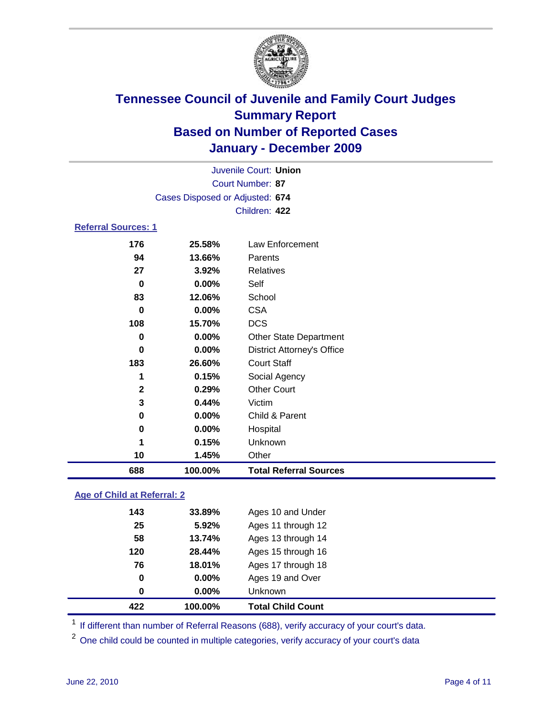

|                            |                                 | Juvenile Court: Union             |  |  |  |
|----------------------------|---------------------------------|-----------------------------------|--|--|--|
|                            | Court Number: 87                |                                   |  |  |  |
|                            | Cases Disposed or Adjusted: 674 |                                   |  |  |  |
|                            |                                 | Children: 422                     |  |  |  |
| <b>Referral Sources: 1</b> |                                 |                                   |  |  |  |
| 176                        | 25.58%                          | <b>Law Enforcement</b>            |  |  |  |
| 94                         | 13.66%                          | Parents                           |  |  |  |
| 27                         | 3.92%                           | <b>Relatives</b>                  |  |  |  |
| $\bf{0}$                   | 0.00%                           | Self                              |  |  |  |
| 83                         | 12.06%                          | School                            |  |  |  |
| $\bf{0}$                   | 0.00%                           | <b>CSA</b>                        |  |  |  |
| 108                        | 15.70%                          | <b>DCS</b>                        |  |  |  |
| 0                          | 0.00%                           | <b>Other State Department</b>     |  |  |  |
| $\bf{0}$                   | 0.00%                           | <b>District Attorney's Office</b> |  |  |  |
| 183                        | 26.60%                          | <b>Court Staff</b>                |  |  |  |
| 1                          | 0.15%                           | Social Agency                     |  |  |  |
| $\mathbf{2}$               | 0.29%                           | <b>Other Court</b>                |  |  |  |
| 3                          | 0.44%                           | Victim                            |  |  |  |
| $\mathbf 0$                | 0.00%                           | Child & Parent                    |  |  |  |
| $\bf{0}$                   | $0.00\%$                        | Hospital                          |  |  |  |
| 1                          | 0.15%                           | Unknown                           |  |  |  |
| 10                         | 1.45%                           | Other                             |  |  |  |
| 688                        | 100.00%                         | <b>Total Referral Sources</b>     |  |  |  |

### **Age of Child at Referral: 2**

| 422 | 100.00% | <b>Total Child Count</b> |
|-----|---------|--------------------------|
| 0   | 0.00%   | Unknown                  |
| 0   | 0.00%   | Ages 19 and Over         |
| 76  | 18.01%  | Ages 17 through 18       |
| 120 | 28.44%  | Ages 15 through 16       |
| 58  | 13.74%  | Ages 13 through 14       |
| 25  | 5.92%   | Ages 11 through 12       |
| 143 | 33.89%  | Ages 10 and Under        |
|     |         |                          |

<sup>1</sup> If different than number of Referral Reasons (688), verify accuracy of your court's data.

One child could be counted in multiple categories, verify accuracy of your court's data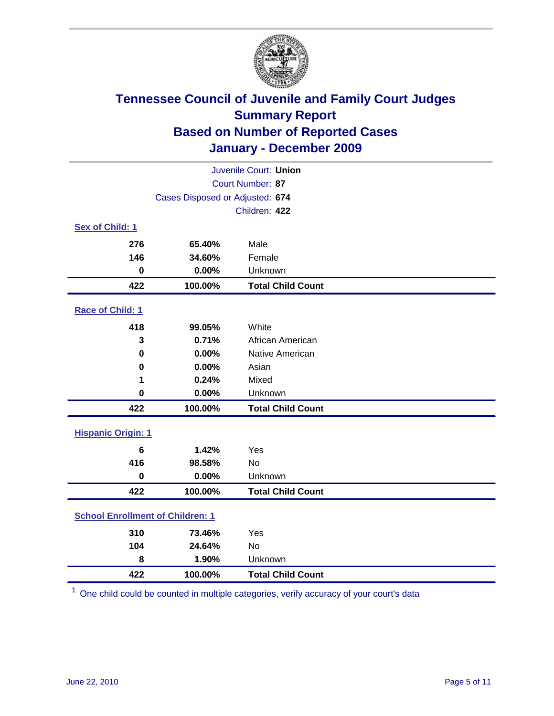

| Juvenile Court: Union                   |                                 |                          |  |
|-----------------------------------------|---------------------------------|--------------------------|--|
| Court Number: 87                        |                                 |                          |  |
|                                         | Cases Disposed or Adjusted: 674 |                          |  |
|                                         |                                 | Children: 422            |  |
| Sex of Child: 1                         |                                 |                          |  |
| 276                                     | 65.40%                          | Male                     |  |
| 146                                     | 34.60%                          | Female                   |  |
| $\mathbf 0$                             | 0.00%                           | Unknown                  |  |
| 422                                     | 100.00%                         | <b>Total Child Count</b> |  |
| Race of Child: 1                        |                                 |                          |  |
| 418                                     | 99.05%                          | White                    |  |
| 3                                       | 0.71%                           | African American         |  |
| 0                                       | 0.00%                           | Native American          |  |
| $\mathbf 0$                             | 0.00%                           | Asian                    |  |
| 1                                       | 0.24%                           | Mixed                    |  |
| $\mathbf 0$                             | 0.00%                           | Unknown                  |  |
| 422                                     | 100.00%                         | <b>Total Child Count</b> |  |
| <b>Hispanic Origin: 1</b>               |                                 |                          |  |
| 6                                       | 1.42%                           | Yes                      |  |
| 416                                     | 98.58%                          | <b>No</b>                |  |
| $\mathbf 0$                             | 0.00%                           | Unknown                  |  |
| 422                                     | 100.00%                         | <b>Total Child Count</b> |  |
| <b>School Enrollment of Children: 1</b> |                                 |                          |  |
| 310                                     | 73.46%                          | Yes                      |  |
| 104                                     | 24.64%                          | No                       |  |
| 8                                       | 1.90%                           | Unknown                  |  |
| 422                                     | 100.00%                         | <b>Total Child Count</b> |  |

One child could be counted in multiple categories, verify accuracy of your court's data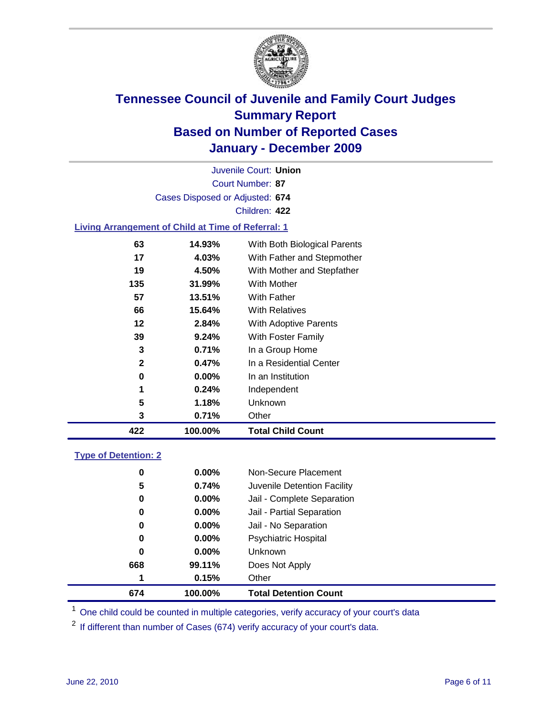

Court Number: **87** Juvenile Court: **Union** Cases Disposed or Adjusted: **674** Children: **422**

#### **Living Arrangement of Child at Time of Referral: 1**

| 422 | 100.00%       | <b>Total Child Count</b>     |
|-----|---------------|------------------------------|
|     | 3<br>0.71%    | Other                        |
|     | 5<br>1.18%    | Unknown                      |
|     | 1<br>0.24%    | Independent                  |
|     | $0.00\%$<br>0 | In an Institution            |
|     | 2<br>0.47%    | In a Residential Center      |
|     | 3<br>0.71%    | In a Group Home              |
| 39  | 9.24%         | With Foster Family           |
| 12  | 2.84%         | <b>With Adoptive Parents</b> |
| 66  | 15.64%        | <b>With Relatives</b>        |
| 57  | 13.51%        | With Father                  |
| 135 | 31.99%        | <b>With Mother</b>           |
| 19  | 4.50%         | With Mother and Stepfather   |
| 17  | 4.03%         | With Father and Stepmother   |
| 63  | 14.93%        | With Both Biological Parents |
|     |               |                              |

### **Type of Detention: 2**

| 674 | 100.00%  | <b>Total Detention Count</b> |  |
|-----|----------|------------------------------|--|
| 1   | 0.15%    | Other                        |  |
| 668 | 99.11%   | Does Not Apply               |  |
| 0   | 0.00%    | <b>Unknown</b>               |  |
| 0   | 0.00%    | <b>Psychiatric Hospital</b>  |  |
| 0   | 0.00%    | Jail - No Separation         |  |
| 0   | $0.00\%$ | Jail - Partial Separation    |  |
| 0   | 0.00%    | Jail - Complete Separation   |  |
| 5   | 0.74%    | Juvenile Detention Facility  |  |
| 0   | $0.00\%$ | Non-Secure Placement         |  |
|     |          |                              |  |

<sup>1</sup> One child could be counted in multiple categories, verify accuracy of your court's data

<sup>2</sup> If different than number of Cases (674) verify accuracy of your court's data.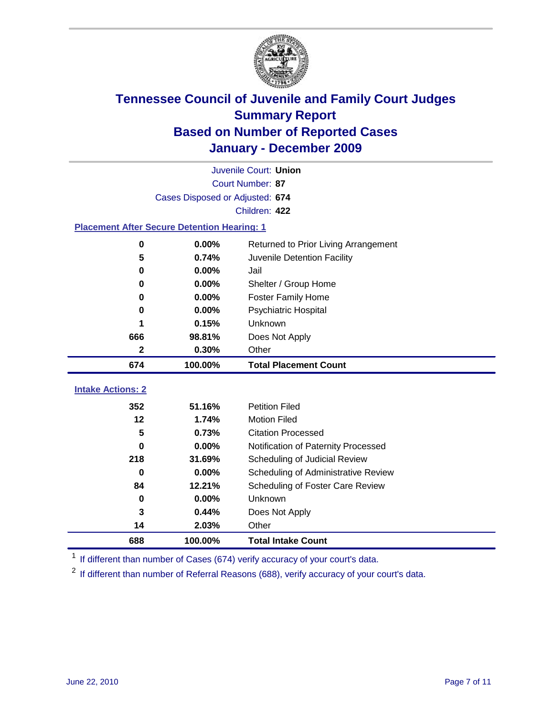

|                                                    | Juvenile Court: Union           |                                      |  |  |  |
|----------------------------------------------------|---------------------------------|--------------------------------------|--|--|--|
|                                                    | Court Number: 87                |                                      |  |  |  |
|                                                    | Cases Disposed or Adjusted: 674 |                                      |  |  |  |
|                                                    |                                 | Children: 422                        |  |  |  |
| <b>Placement After Secure Detention Hearing: 1</b> |                                 |                                      |  |  |  |
| $\mathbf 0$                                        | 0.00%                           | Returned to Prior Living Arrangement |  |  |  |
| 5                                                  | 0.74%                           | Juvenile Detention Facility          |  |  |  |
| $\bf{0}$                                           | 0.00%                           | Jail                                 |  |  |  |
| 0                                                  | 0.00%                           | Shelter / Group Home                 |  |  |  |
| 0                                                  | 0.00%                           | Foster Family Home                   |  |  |  |
| 0                                                  | 0.00%                           | Psychiatric Hospital                 |  |  |  |
| 1                                                  | 0.15%                           | Unknown                              |  |  |  |
| 666                                                | 98.81%                          | Does Not Apply                       |  |  |  |
| 2                                                  | 0.30%                           | Other                                |  |  |  |
| 674                                                | 100.00%                         | <b>Total Placement Count</b>         |  |  |  |
| <b>Intake Actions: 2</b>                           |                                 |                                      |  |  |  |
| 352                                                | 51.16%                          | <b>Petition Filed</b>                |  |  |  |
| 12                                                 | 1.74%                           | <b>Motion Filed</b>                  |  |  |  |
| 5                                                  | 0.73%                           | <b>Citation Processed</b>            |  |  |  |
| 0                                                  | 0.00%                           | Notification of Paternity Processed  |  |  |  |
| 218                                                | 31.69%                          | Scheduling of Judicial Review        |  |  |  |
| 0                                                  | 0.00%                           | Scheduling of Administrative Review  |  |  |  |
| 84                                                 | 12.21%                          | Scheduling of Foster Care Review     |  |  |  |
| 0                                                  | 0.00%                           | Unknown                              |  |  |  |
| 3                                                  | 0.44%                           | Does Not Apply                       |  |  |  |
| 14                                                 | 2.03%                           | Other                                |  |  |  |
| 688                                                | 100.00%                         | <b>Total Intake Count</b>            |  |  |  |

<sup>1</sup> If different than number of Cases (674) verify accuracy of your court's data.

<sup>2</sup> If different than number of Referral Reasons (688), verify accuracy of your court's data.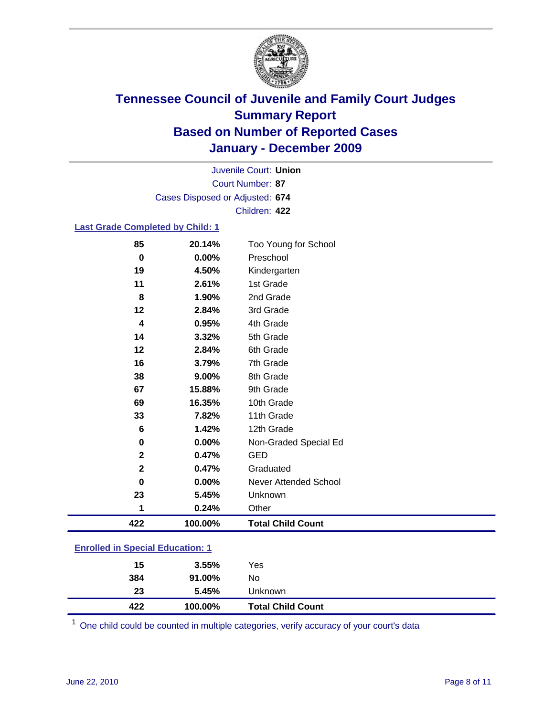

Court Number: **87** Juvenile Court: **Union** Cases Disposed or Adjusted: **674** Children: **422**

#### **Last Grade Completed by Child: 1**

| 85                      | 20.14%  | Too Young for School     |
|-------------------------|---------|--------------------------|
| $\pmb{0}$               | 0.00%   | Preschool                |
| 19                      | 4.50%   | Kindergarten             |
| 11                      | 2.61%   | 1st Grade                |
| 8                       | 1.90%   | 2nd Grade                |
| 12                      | 2.84%   | 3rd Grade                |
| 4                       | 0.95%   | 4th Grade                |
| 14                      | 3.32%   | 5th Grade                |
| 12                      | 2.84%   | 6th Grade                |
| 16                      | 3.79%   | 7th Grade                |
| 38                      | 9.00%   | 8th Grade                |
| 67                      | 15.88%  | 9th Grade                |
| 69                      | 16.35%  | 10th Grade               |
| 33                      | 7.82%   | 11th Grade               |
| 6                       | 1.42%   | 12th Grade               |
| 0                       | 0.00%   | Non-Graded Special Ed    |
| $\mathbf 2$             | 0.47%   | <b>GED</b>               |
| $\overline{\mathbf{2}}$ | 0.47%   | Graduated                |
| 0                       | 0.00%   | Never Attended School    |
| 23                      | 5.45%   | Unknown                  |
| 1                       | 0.24%   | Other                    |
|                         |         |                          |
| 422                     | 100.00% | <b>Total Child Count</b> |

| 422 | 100.00% | <b>Total Child Count</b> |
|-----|---------|--------------------------|
| 23  | 5.45%   | <b>Unknown</b>           |
| 384 | 91.00%  | No                       |
| 15  | 3.55%   | Yes                      |
|     |         |                          |

One child could be counted in multiple categories, verify accuracy of your court's data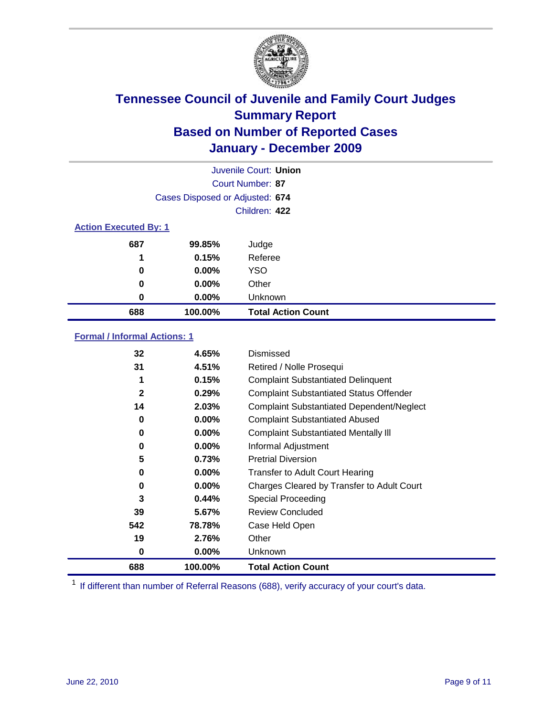

| Juvenile Court: Union        |                                 |                           |  |  |  |
|------------------------------|---------------------------------|---------------------------|--|--|--|
|                              | Court Number: 87                |                           |  |  |  |
|                              | Cases Disposed or Adjusted: 674 |                           |  |  |  |
|                              | Children: 422                   |                           |  |  |  |
| <b>Action Executed By: 1</b> |                                 |                           |  |  |  |
| 687                          | 99.85%                          | Judge                     |  |  |  |
| 1                            | 0.15%                           | Referee                   |  |  |  |
| 0                            | 0.00%                           | <b>YSO</b>                |  |  |  |
| 0                            | 0.00%                           | Other                     |  |  |  |
| 0                            | 0.00%                           | Unknown                   |  |  |  |
| 688                          | 100.00%                         | <b>Total Action Count</b> |  |  |  |

### **Formal / Informal Actions: 1**

| 32           | 4.65%    | Dismissed                                        |
|--------------|----------|--------------------------------------------------|
| 31           | 4.51%    | Retired / Nolle Prosequi                         |
|              | 0.15%    | <b>Complaint Substantiated Delinquent</b>        |
| $\mathbf{2}$ | 0.29%    | <b>Complaint Substantiated Status Offender</b>   |
| 14           | 2.03%    | <b>Complaint Substantiated Dependent/Neglect</b> |
| 0            | $0.00\%$ | <b>Complaint Substantiated Abused</b>            |
| 0            | $0.00\%$ | <b>Complaint Substantiated Mentally III</b>      |
| 0            | $0.00\%$ | Informal Adjustment                              |
| 5            | 0.73%    | <b>Pretrial Diversion</b>                        |
| 0            | $0.00\%$ | <b>Transfer to Adult Court Hearing</b>           |
| 0            | 0.00%    | Charges Cleared by Transfer to Adult Court       |
| 3            | 0.44%    | <b>Special Proceeding</b>                        |
| 39           | 5.67%    | <b>Review Concluded</b>                          |
| 542          | 78.78%   | Case Held Open                                   |
| 19           | 2.76%    | Other                                            |
| 0            | $0.00\%$ | <b>Unknown</b>                                   |
| 688          | 100.00%  | <b>Total Action Count</b>                        |

<sup>1</sup> If different than number of Referral Reasons (688), verify accuracy of your court's data.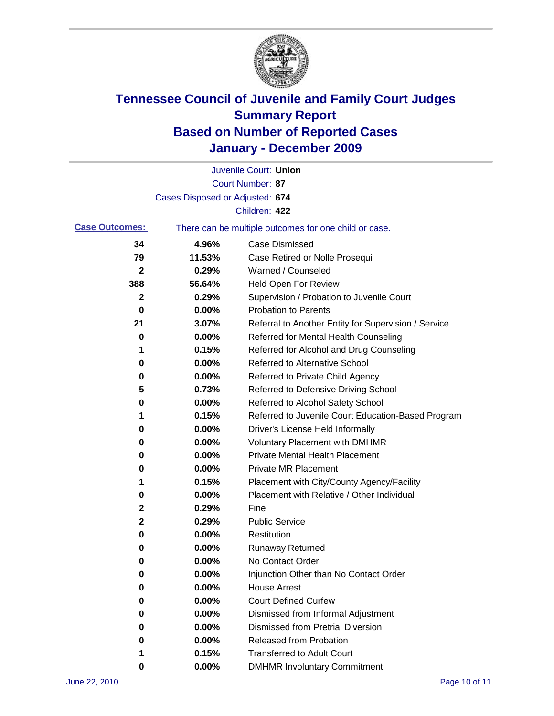

|                       |                                 | Juvenile Court: Union                                 |
|-----------------------|---------------------------------|-------------------------------------------------------|
|                       |                                 | <b>Court Number: 87</b>                               |
|                       | Cases Disposed or Adjusted: 674 |                                                       |
|                       |                                 | Children: 422                                         |
| <b>Case Outcomes:</b> |                                 | There can be multiple outcomes for one child or case. |
| 34                    | 4.96%                           | <b>Case Dismissed</b>                                 |
| 79                    | 11.53%                          | Case Retired or Nolle Prosequi                        |
| 2                     | 0.29%                           | Warned / Counseled                                    |
| 388                   | 56.64%                          | Held Open For Review                                  |
| $\mathbf{2}$          | 0.29%                           | Supervision / Probation to Juvenile Court             |
| 0                     | 0.00%                           | <b>Probation to Parents</b>                           |
| 21                    | 3.07%                           | Referral to Another Entity for Supervision / Service  |
| 0                     | 0.00%                           | Referred for Mental Health Counseling                 |
| 1                     | 0.15%                           | Referred for Alcohol and Drug Counseling              |
| 0                     | 0.00%                           | <b>Referred to Alternative School</b>                 |
| 0                     | 0.00%                           | Referred to Private Child Agency                      |
| 5                     | 0.73%                           | Referred to Defensive Driving School                  |
| 0                     | 0.00%                           | Referred to Alcohol Safety School                     |
| 1                     | 0.15%                           | Referred to Juvenile Court Education-Based Program    |
| 0                     | 0.00%                           | Driver's License Held Informally                      |
| 0                     | 0.00%                           | <b>Voluntary Placement with DMHMR</b>                 |
| 0                     | 0.00%                           | <b>Private Mental Health Placement</b>                |
| 0                     | 0.00%                           | <b>Private MR Placement</b>                           |
| 1                     | 0.15%                           | Placement with City/County Agency/Facility            |
| 0                     | 0.00%                           | Placement with Relative / Other Individual            |
| 2                     | 0.29%                           | Fine                                                  |
| 2                     | 0.29%                           | <b>Public Service</b>                                 |
| 0                     | 0.00%                           | Restitution                                           |
| 0                     | 0.00%                           | Runaway Returned                                      |
| 0                     | 0.00%                           | No Contact Order                                      |
| 0                     | 0.00%                           | Injunction Other than No Contact Order                |
| 0                     | 0.00%                           | <b>House Arrest</b>                                   |
| 0                     | 0.00%                           | <b>Court Defined Curfew</b>                           |
| 0                     | 0.00%                           | Dismissed from Informal Adjustment                    |
| 0                     | 0.00%                           | <b>Dismissed from Pretrial Diversion</b>              |
| 0                     | 0.00%                           | Released from Probation                               |
| 1                     | 0.15%                           | <b>Transferred to Adult Court</b>                     |
| 0                     | 0.00%                           | <b>DMHMR Involuntary Commitment</b>                   |